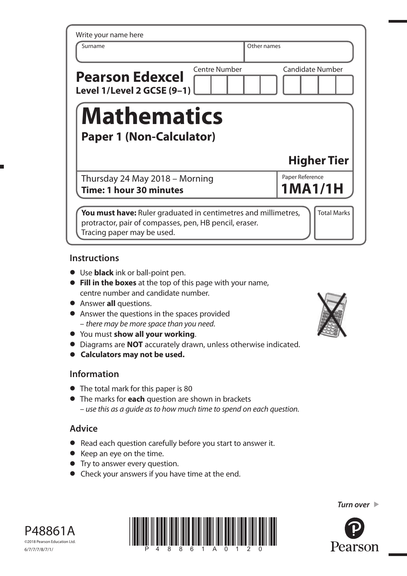| <b>Candidate Number</b>                               |  |  |  |  |  |  |
|-------------------------------------------------------|--|--|--|--|--|--|
| <b>Mathematics</b><br><b>Paper 1 (Non-Calculator)</b> |  |  |  |  |  |  |
| <b>Higher Tier</b>                                    |  |  |  |  |  |  |
| Paper Reference                                       |  |  |  |  |  |  |
| 1MA1/1H                                               |  |  |  |  |  |  |
|                                                       |  |  |  |  |  |  |

# **Instructions**

- **•** Use **black** ink or ball-point pen.
- **• Fill in the boxes** at the top of this page with your name, centre number and candidate number.
- **•** Answer **all** questions.
- **•** Answer the questions in the spaces provided – there may be more space than you need.
- **•** You must **show all your working**.
- **•** Diagrams are **NOT** accurately drawn, unless otherwise indicated.
- **• Calculators may not be used.**

### **Information**

- **•** The total mark for this paper is 80
- **•** The marks for **each** question are shown in brackets – use this as a guide as to how much time to spend on each question.

# **Advice**

- **•** Read each question carefully before you start to answer it.
- **•** Keep an eye on the time.
- **•** Try to answer every question.
- **•** Check your answers if you have time at the end.









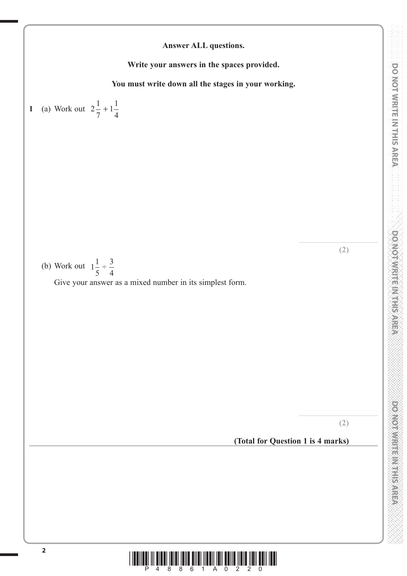**(2)**

....................................................... **(2)**



**(Total for Question 1 is 4 marks)**

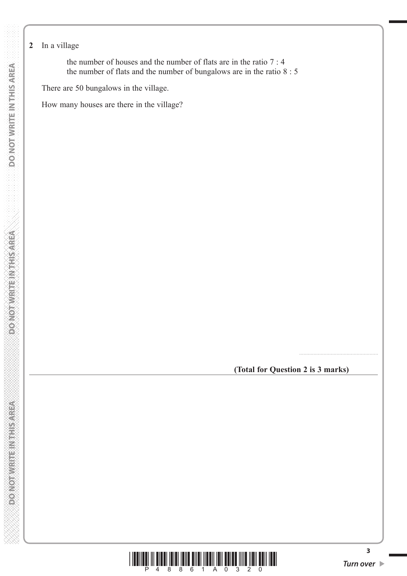## **2** In a village

 the number of houses and the number of flats are in the ratio 7 : 4 the number of flats and the number of bungalows are in the ratio 8 : 5

There are 50 bungalows in the village.

How many houses are there in the village?

**(Total for Question 2 is 3 marks)**

.......................................................



**3**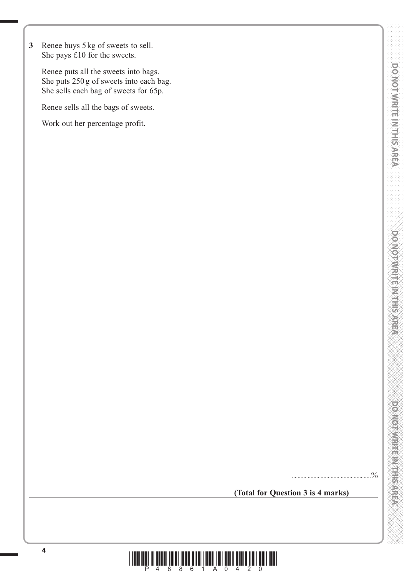**3** Renee buys 5 kg of sweets to sell. She pays £10 for the sweets.

 Renee puts all the sweets into bags. She puts 250 g of sweets into each bag. She sells each bag of sweets for 65p.

Renee sells all the bags of sweets.

Work out her percentage profit.

**(Total for Question 3 is 4 marks)**

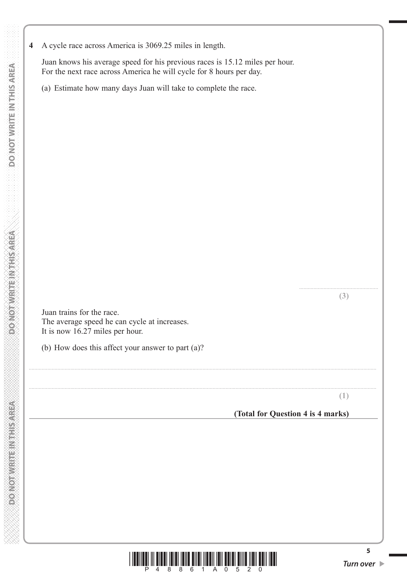**4** A cycle race across America is 3069.25 miles in length.

 Juan knows his average speed for his previous races is 15.12 miles per hour. For the next race across America he will cycle for 8 hours per day.

(a) Estimate how many days Juan will take to complete the race.

 Juan trains for the race. The average speed he can cycle at increases. It is now 16.27 miles per hour.

(b) How does this affect your answer to part (a)?

**(1)**

....................................................... **(3)**

#### **(Total for Question 4 is 4 marks)**



..................................................................................................................................................................................................................................................

..................................................................................................................................................................................................................................................

**5**

**PONOT WRITEIN RESPECT**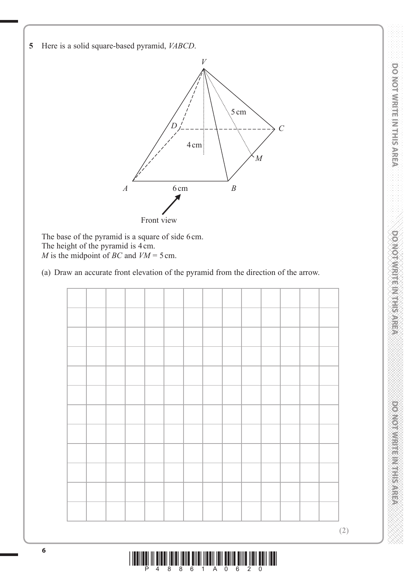**DOWNAMERIAL MELTING** 

**5** Here is a solid square-based pyramid, *VABCD*.



The base of the pyramid is a square of side 6 cm. The height of the pyramid is 4 cm. *M* is the midpoint of *BC* and *VM* = 5 cm.

(a) Draw an accurate front elevation of the pyramid from the direction of the arrow.

**(2)**

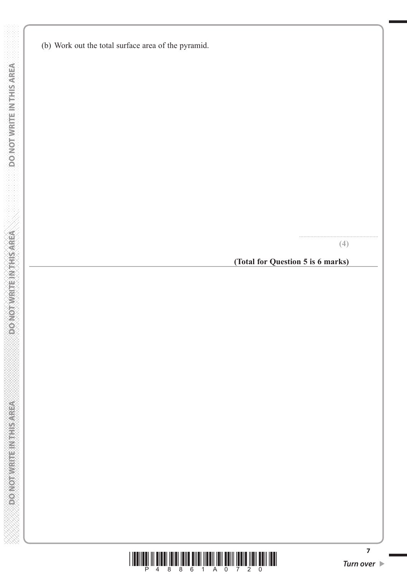(b) Work out the total surface area of the pyramid.

**(4)**

.......................................................

**(Total for Question 5 is 6 marks)**



**7**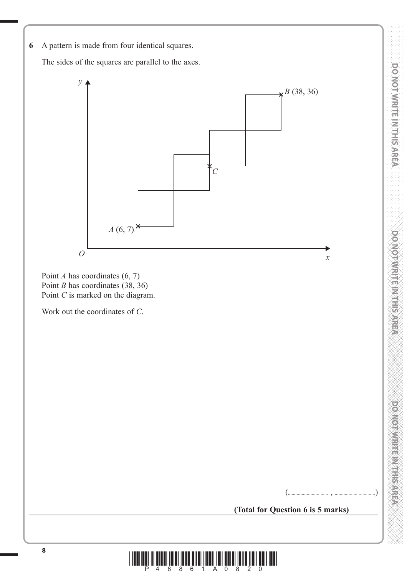**6** A pattern is made from four identical squares.

The sides of the squares are parallel to the axes.



Point *A* has coordinates (6, 7) Point *B* has coordinates (38, 36) Point *C* is marked on the diagram.

Work out the coordinates of *C*.

power was a state of the stress

(................................ , ................................)

**(Total for Question 6 is 5 marks)**

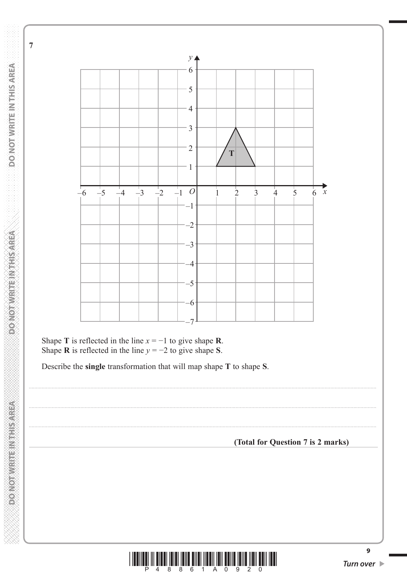DO NOT WRITE IN THIS AREA

 $\overline{7}$ 

**MERKSHIP NEFICINATIONS** 

**DONOT WRITEINTHIS AREA** 



Shape T is reflected in the line  $x = -1$  to give shape R. Shape **R** is reflected in the line  $y = -2$  to give shape **S**.

Describe the single transformation that will map shape T to shape S.

(Total for Question 7 is 2 marks)



 $\overline{9}$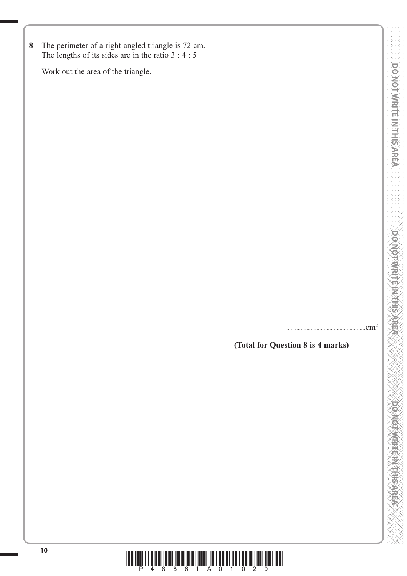**8** The perimeter of a right-angled triangle is 72 cm. The lengths of its sides are in the ratio 3 : 4 : 5

Work out the area of the triangle.

 $cm<sup>2</sup>$ 

**(Total for Question 8 is 4 marks)**

DO NOTWRITE IN THIS AREA

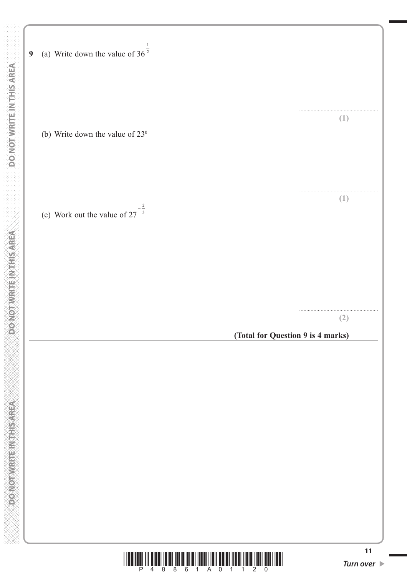|                             | (a) Write down the value of $36^{\frac{1}{2}}$<br>$\boldsymbol{9}$                                                                                                                          |                                       |
|-----------------------------|---------------------------------------------------------------------------------------------------------------------------------------------------------------------------------------------|---------------------------------------|
| DO NOT WRITEIN THIS AREA    | (b) Write down the value of $23^{\circ}$                                                                                                                                                    | (1)                                   |
|                             | (c) Work out the value of $27^{-\frac{2}{3}}$                                                                                                                                               | (1)                                   |
| DONOTWRITEIN THIS AREA      |                                                                                                                                                                                             | (2)                                   |
|                             | (Total for Question 9 is 4 marks)                                                                                                                                                           |                                       |
| <b>PONOTWRITEINTHISAREA</b> |                                                                                                                                                                                             |                                       |
|                             | <b>TILLITIN TILL</b><br><u> III III IIII IIII</u><br><u> II jiho jiho godinal</u><br>║║<br>P<br>4<br>8<br>8<br>$6\overline{6}$<br>$A \quad 0$<br>$2 \quad 0$<br>$\overline{1}$<br>$1\quad1$ | 11<br>Turn over $\blacktriangleright$ |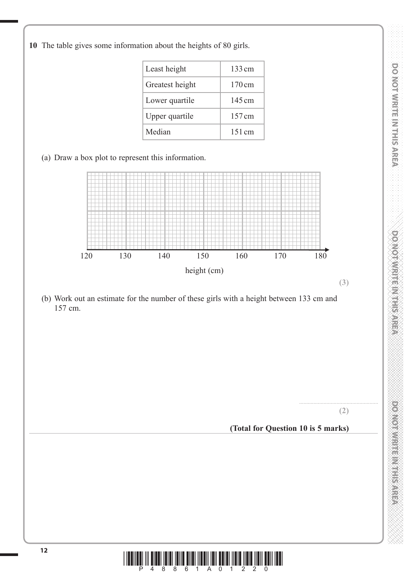**10** The table gives some information about the heights of 80 girls.

| Least height    | $133 \text{ cm}$ |
|-----------------|------------------|
| Greatest height | $170 \text{ cm}$ |
| Lower quartile  | $145 \text{ cm}$ |
| Upper quartile  | $157 \text{ cm}$ |
| Median          | $151 \text{ cm}$ |

# (a) Draw a box plot to represent this information.



 (b) Work out an estimate for the number of these girls with a height between 133 cm and 157 cm.

.......................................................

### **(Total for Question 10 is 5 marks)**



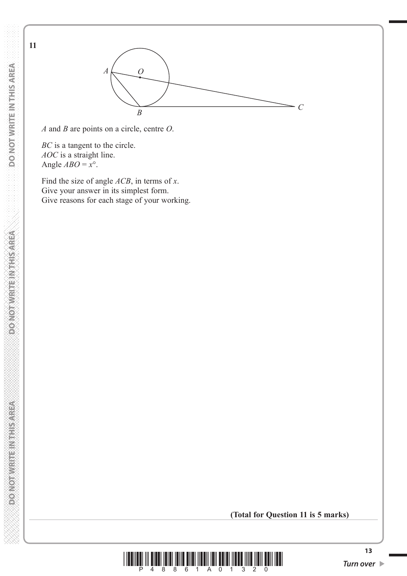DO NOT WRITE IN THIS AREA  **DO NOT WRITE IN THIS AREA DO NOT WRITE IN THIS AREA DO NOT WRITE IN THIS AREA DO NOT WRITE IN THIS AREA DO NOT** 

**DONOT WRITEIN THIS AREA** 

**PONOTWERT NEEDS GREEN** 

**11**

*A* and *B* are points on a circle, centre *O*.

*A*

*O*

*BC* is a tangent to the circle. *AOC* is a straight line. Angle  $ABO = x^{\circ}$ .

 Find the size of angle *ACB*, in terms of *x*. Give your answer in its simplest form. Give reasons for each stage of your working.

**(Total for Question 11 is 5 marks)**



 $\overline{B}$  *C*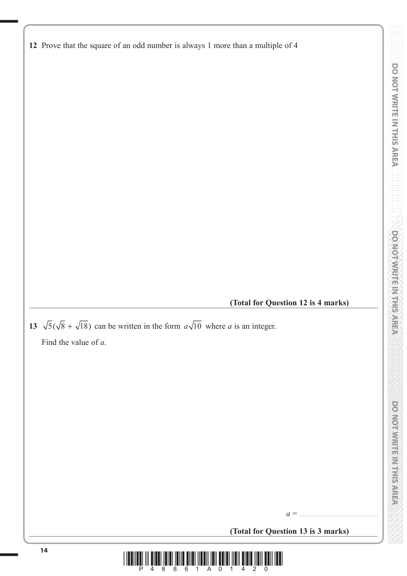**DOMOTIVE IN THE AREA** 

**12** Prove that the square of an odd number is always 1 more than a multiple of 4

**(Total for Question 12 is 4 marks)**

**13**  $\sqrt{5}(\sqrt{8} + \sqrt{18})$  can be written in the form  $a\sqrt{10}$  where *a* is an integer.

Find the value of *a*.

**(Total for Question 13 is 3 marks)**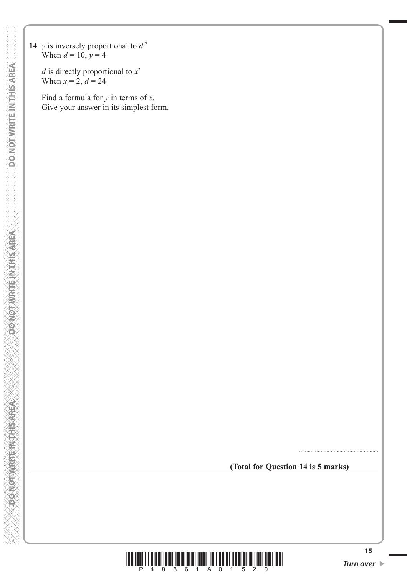**14** *y* is inversely proportional to  $d^2$ When  $d = 10, y = 4$ 

> *d* is directly proportional to *x*<sup>2</sup> When  $x = 2$ ,  $d = 24$

 Find a formula for *y* in terms of *x*. Give your answer in its simplest form.

**(Total for Question 14 is 5 marks)**

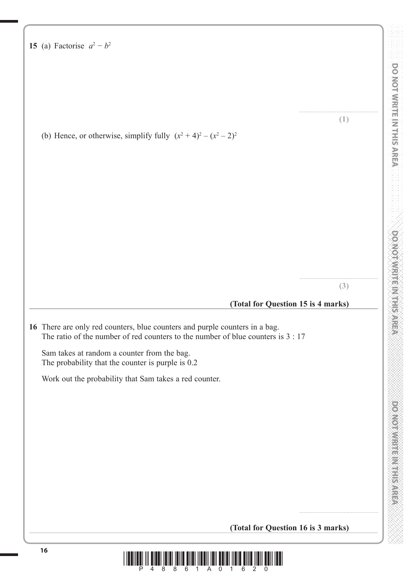| 15 (a) Factorise $a^2-b^2$                                                                                                                                      |     |
|-----------------------------------------------------------------------------------------------------------------------------------------------------------------|-----|
|                                                                                                                                                                 |     |
|                                                                                                                                                                 |     |
|                                                                                                                                                                 | (1) |
| (b) Hence, or otherwise, simplify fully $(x^2 + 4)^2 - (x^2 - 2)^2$                                                                                             |     |
|                                                                                                                                                                 |     |
|                                                                                                                                                                 |     |
|                                                                                                                                                                 |     |
|                                                                                                                                                                 |     |
|                                                                                                                                                                 |     |
|                                                                                                                                                                 |     |
|                                                                                                                                                                 | (3) |
| (Total for Question 15 is 4 marks)                                                                                                                              |     |
| 16 There are only red counters, blue counters and purple counters in a bag.<br>The ratio of the number of red counters to the number of blue counters is $3:17$ |     |
| Sam takes at random a counter from the bag.<br>The probability that the counter is purple is 0.2                                                                |     |
| Work out the probability that Sam takes a red counter.                                                                                                          |     |
|                                                                                                                                                                 |     |
|                                                                                                                                                                 |     |

**(Total for Question 16 is 3 marks)**



....................................................... **(1)**

....................................................... **(3)**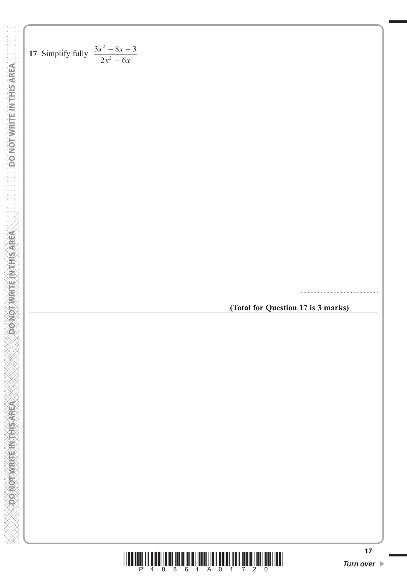17 Simplify fully 
$$
\frac{3x^2 - 8x - 3}{2x^2 - 6x}
$$

**(Total for Question 17 is 3 marks)**

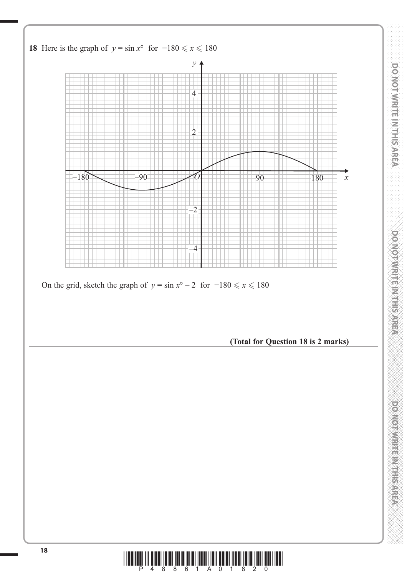

**<sup>18</sup>** \*P48861A01820\*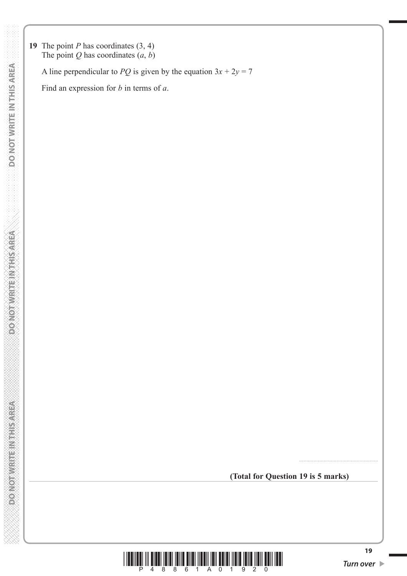**19** The point *P* has coordinates (3, 4) The point  $Q$  has coordinates  $(a, b)$ 

A line perpendicular to *PQ* is given by the equation  $3x + 2y = 7$ 

Find an expression for *b* in terms of *a*.

**(Total for Question 19 is 5 marks)**



*Turn over*